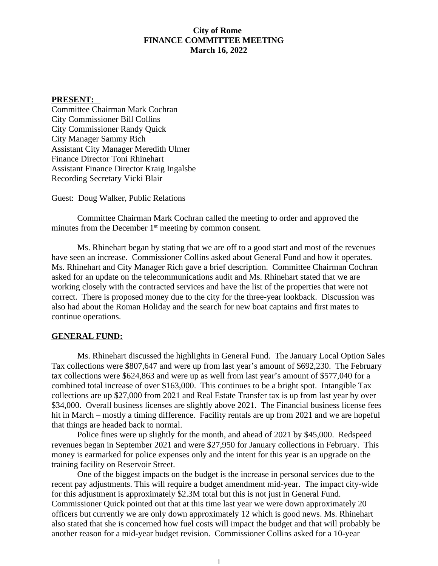# **City of Rome FINANCE COMMITTEE MEETING March 16, 2022**

#### **PRESENT:**

Committee Chairman Mark Cochran City Commissioner Bill Collins City Commissioner Randy Quick City Manager Sammy Rich Assistant City Manager Meredith Ulmer Finance Director Toni Rhinehart Assistant Finance Director Kraig Ingalsbe Recording Secretary Vicki Blair

Guest: Doug Walker, Public Relations

Committee Chairman Mark Cochran called the meeting to order and approved the minutes from the December 1<sup>st</sup> meeting by common consent.

Ms. Rhinehart began by stating that we are off to a good start and most of the revenues have seen an increase. Commissioner Collins asked about General Fund and how it operates. Ms. Rhinehart and City Manager Rich gave a brief description. Committee Chairman Cochran asked for an update on the telecommunications audit and Ms. Rhinehart stated that we are working closely with the contracted services and have the list of the properties that were not correct. There is proposed money due to the city for the three-year lookback. Discussion was also had about the Roman Holiday and the search for new boat captains and first mates to continue operations.

#### **GENERAL FUND:**

Ms. Rhinehart discussed the highlights in General Fund. The January Local Option Sales Tax collections were \$807,647 and were up from last year's amount of \$692,230. The February tax collections were \$624,863 and were up as well from last year's amount of \$577,040 for a combined total increase of over \$163,000. This continues to be a bright spot. Intangible Tax collections are up \$27,000 from 2021 and Real Estate Transfer tax is up from last year by over \$34,000. Overall business licenses are slightly above 2021. The Financial business license fees hit in March – mostly a timing difference. Facility rentals are up from 2021 and we are hopeful that things are headed back to normal.

Police fines were up slightly for the month, and ahead of 2021 by \$45,000. Redspeed revenues began in September 2021 and were \$27,950 for January collections in February. This money is earmarked for police expenses only and the intent for this year is an upgrade on the training facility on Reservoir Street.

One of the biggest impacts on the budget is the increase in personal services due to the recent pay adjustments. This will require a budget amendment mid-year. The impact city-wide for this adjustment is approximately \$2.3M total but this is not just in General Fund. Commissioner Quick pointed out that at this time last year we were down approximately 20 officers but currently we are only down approximately 12 which is good news. Ms. Rhinehart also stated that she is concerned how fuel costs will impact the budget and that will probably be another reason for a mid-year budget revision. Commissioner Collins asked for a 10-year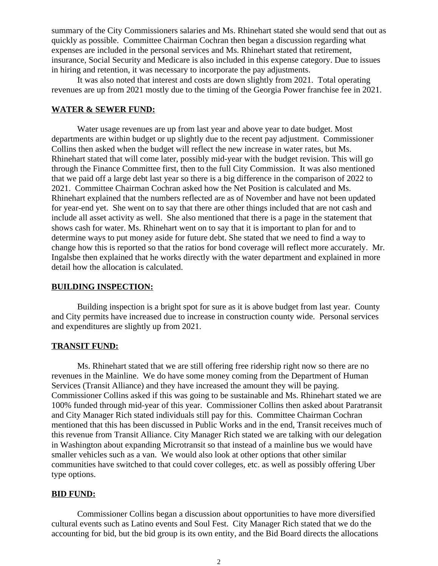summary of the City Commissioners salaries and Ms. Rhinehart stated she would send that out as quickly as possible. Committee Chairman Cochran then began a discussion regarding what expenses are included in the personal services and Ms. Rhinehart stated that retirement, insurance, Social Security and Medicare is also included in this expense category. Due to issues in hiring and retention, it was necessary to incorporate the pay adjustments.

It was also noted that interest and costs are down slightly from 2021. Total operating revenues are up from 2021 mostly due to the timing of the Georgia Power franchise fee in 2021.

#### **WATER & SEWER FUND:**

Water usage revenues are up from last year and above year to date budget. Most departments are within budget or up slightly due to the recent pay adjustment. Commissioner Collins then asked when the budget will reflect the new increase in water rates, but Ms. Rhinehart stated that will come later, possibly mid-year with the budget revision. This will go through the Finance Committee first, then to the full City Commission. It was also mentioned that we paid off a large debt last year so there is a big difference in the comparison of 2022 to 2021. Committee Chairman Cochran asked how the Net Position is calculated and Ms. Rhinehart explained that the numbers reflected are as of November and have not been updated for year-end yet. She went on to say that there are other things included that are not cash and include all asset activity as well. She also mentioned that there is a page in the statement that shows cash for water. Ms. Rhinehart went on to say that it is important to plan for and to determine ways to put money aside for future debt. She stated that we need to find a way to change how this is reported so that the ratios for bond coverage will reflect more accurately. Mr. Ingalsbe then explained that he works directly with the water department and explained in more detail how the allocation is calculated.

## **BUILDING INSPECTION:**

Building inspection is a bright spot for sure as it is above budget from last year. County and City permits have increased due to increase in construction county wide. Personal services and expenditures are slightly up from 2021.

## **TRANSIT FUND:**

Ms. Rhinehart stated that we are still offering free ridership right now so there are no revenues in the Mainline. We do have some money coming from the Department of Human Services (Transit Alliance) and they have increased the amount they will be paying. Commissioner Collins asked if this was going to be sustainable and Ms. Rhinehart stated we are 100% funded through mid-year of this year. Commissioner Collins then asked about Paratransit and City Manager Rich stated individuals still pay for this. Committee Chairman Cochran mentioned that this has been discussed in Public Works and in the end, Transit receives much of this revenue from Transit Alliance. City Manager Rich stated we are talking with our delegation in Washington about expanding Microtransit so that instead of a mainline bus we would have smaller vehicles such as a van. We would also look at other options that other similar communities have switched to that could cover colleges, etc. as well as possibly offering Uber type options.

#### **BID FUND:**

Commissioner Collins began a discussion about opportunities to have more diversified cultural events such as Latino events and Soul Fest. City Manager Rich stated that we do the accounting for bid, but the bid group is its own entity, and the Bid Board directs the allocations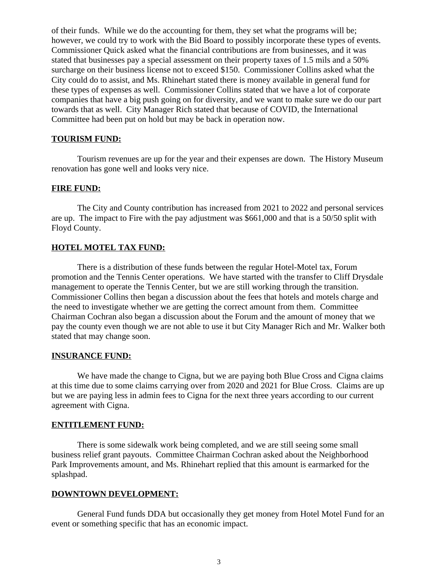of their funds. While we do the accounting for them, they set what the programs will be; however, we could try to work with the Bid Board to possibly incorporate these types of events. Commissioner Quick asked what the financial contributions are from businesses, and it was stated that businesses pay a special assessment on their property taxes of 1.5 mils and a 50% surcharge on their business license not to exceed \$150. Commissioner Collins asked what the City could do to assist, and Ms. Rhinehart stated there is money available in general fund for these types of expenses as well. Commissioner Collins stated that we have a lot of corporate companies that have a big push going on for diversity, and we want to make sure we do our part towards that as well. City Manager Rich stated that because of COVID, the International Committee had been put on hold but may be back in operation now.

### **TOURISM FUND:**

Tourism revenues are up for the year and their expenses are down. The History Museum renovation has gone well and looks very nice.

## **FIRE FUND:**

The City and County contribution has increased from 2021 to 2022 and personal services are up. The impact to Fire with the pay adjustment was \$661,000 and that is a 50/50 split with Floyd County.

### **HOTEL MOTEL TAX FUND:**

There is a distribution of these funds between the regular Hotel-Motel tax, Forum promotion and the Tennis Center operations. We have started with the transfer to Cliff Drysdale management to operate the Tennis Center, but we are still working through the transition. Commissioner Collins then began a discussion about the fees that hotels and motels charge and the need to investigate whether we are getting the correct amount from them. Committee Chairman Cochran also began a discussion about the Forum and the amount of money that we pay the county even though we are not able to use it but City Manager Rich and Mr. Walker both stated that may change soon.

#### **INSURANCE FUND:**

We have made the change to Cigna, but we are paying both Blue Cross and Cigna claims at this time due to some claims carrying over from 2020 and 2021 for Blue Cross. Claims are up but we are paying less in admin fees to Cigna for the next three years according to our current agreement with Cigna.

## **ENTITLEMENT FUND:**

There is some sidewalk work being completed, and we are still seeing some small business relief grant payouts. Committee Chairman Cochran asked about the Neighborhood Park Improvements amount, and Ms. Rhinehart replied that this amount is earmarked for the splashpad.

## **DOWNTOWN DEVELOPMENT:**

General Fund funds DDA but occasionally they get money from Hotel Motel Fund for an event or something specific that has an economic impact.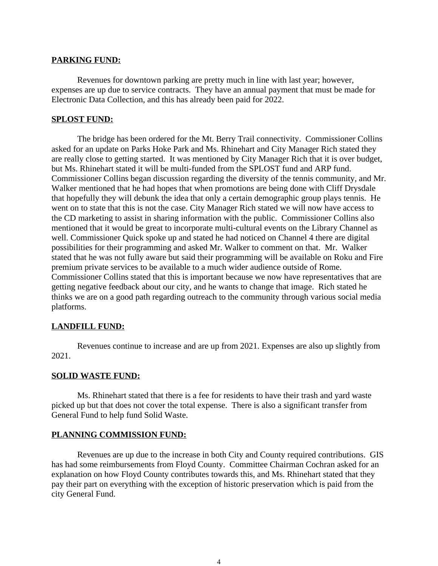## **PARKING FUND:**

Revenues for downtown parking are pretty much in line with last year; however, expenses are up due to service contracts. They have an annual payment that must be made for Electronic Data Collection, and this has already been paid for 2022.

## **SPLOST FUND:**

The bridge has been ordered for the Mt. Berry Trail connectivity. Commissioner Collins asked for an update on Parks Hoke Park and Ms. Rhinehart and City Manager Rich stated they are really close to getting started. It was mentioned by City Manager Rich that it is over budget, but Ms. Rhinehart stated it will be multi-funded from the SPLOST fund and ARP fund. Commissioner Collins began discussion regarding the diversity of the tennis community, and Mr. Walker mentioned that he had hopes that when promotions are being done with Cliff Drysdale that hopefully they will debunk the idea that only a certain demographic group plays tennis. He went on to state that this is not the case. City Manager Rich stated we will now have access to the CD marketing to assist in sharing information with the public. Commissioner Collins also mentioned that it would be great to incorporate multi-cultural events on the Library Channel as well. Commissioner Quick spoke up and stated he had noticed on Channel 4 there are digital possibilities for their programming and asked Mr. Walker to comment on that. Mr. Walker stated that he was not fully aware but said their programming will be available on Roku and Fire premium private services to be available to a much wider audience outside of Rome. Commissioner Collins stated that this is important because we now have representatives that are getting negative feedback about our city, and he wants to change that image. Rich stated he thinks we are on a good path regarding outreach to the community through various social media platforms.

# **LANDFILL FUND:**

Revenues continue to increase and are up from 2021. Expenses are also up slightly from 2021.

### **SOLID WASTE FUND:**

Ms. Rhinehart stated that there is a fee for residents to have their trash and yard waste picked up but that does not cover the total expense. There is also a significant transfer from General Fund to help fund Solid Waste.

### **PLANNING COMMISSION FUND:**

Revenues are up due to the increase in both City and County required contributions. GIS has had some reimbursements from Floyd County. Committee Chairman Cochran asked for an explanation on how Floyd County contributes towards this, and Ms. Rhinehart stated that they pay their part on everything with the exception of historic preservation which is paid from the city General Fund.